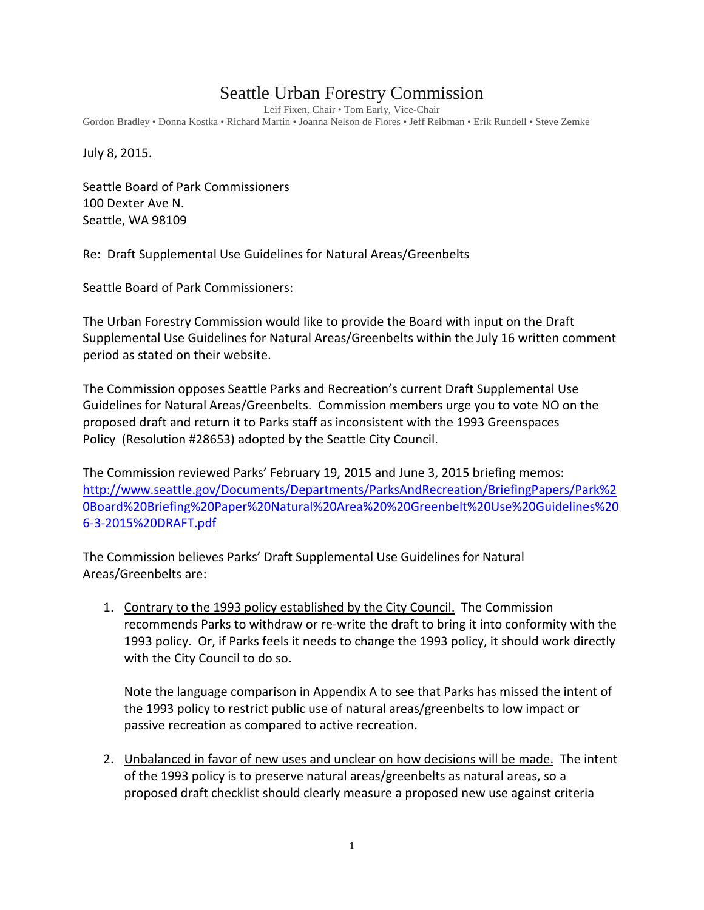# Seattle Urban Forestry Commission

Leif Fixen, Chair • Tom Early, Vice-Chair

Gordon Bradley • Donna Kostka • Richard Martin • Joanna Nelson de Flores • Jeff Reibman • Erik Rundell • Steve Zemke

July 8, 2015.

Seattle Board of Park Commissioners 100 Dexter Ave N. Seattle, WA 98109

Re: Draft Supplemental Use Guidelines for Natural Areas/Greenbelts

Seattle Board of Park Commissioners:

The Urban Forestry Commission would like to provide the Board with input on the Draft Supplemental Use Guidelines for Natural Areas/Greenbelts within the July 16 written comment period as stated on their website.

The Commission opposes Seattle Parks and Recreation's current Draft Supplemental Use Guidelines for Natural Areas/Greenbelts. Commission members urge you to vote NO on the proposed draft and return it to Parks staff as inconsistent with the 1993 Greenspaces Policy (Resolution #28653) adopted by the Seattle City Council.

The Commission reviewed Parks' February 19, 2015 and June 3, 2015 briefing memos: [http://www.seattle.gov/Documents/Departments/ParksAndRecreation/BriefingPapers/Park%2](http://www.seattle.gov/Documents/Departments/ParksAndRecreation/BriefingPapers/Park%20Board%20Briefing%20Paper%20Natural%20Area%20%20Greenbelt%20Use%20Guidelines%206-3-2015%20DRAFT.pdf) [0Board%20Briefing%20Paper%20Natural%20Area%20%20Greenbelt%20Use%20Guidelines%20](http://www.seattle.gov/Documents/Departments/ParksAndRecreation/BriefingPapers/Park%20Board%20Briefing%20Paper%20Natural%20Area%20%20Greenbelt%20Use%20Guidelines%206-3-2015%20DRAFT.pdf) [6-3-2015%20DRAFT.pdf](http://www.seattle.gov/Documents/Departments/ParksAndRecreation/BriefingPapers/Park%20Board%20Briefing%20Paper%20Natural%20Area%20%20Greenbelt%20Use%20Guidelines%206-3-2015%20DRAFT.pdf)

The Commission believes Parks' Draft Supplemental Use Guidelines for Natural Areas/Greenbelts are:

1. Contrary to the 1993 policy established by the City Council. The Commission recommends Parks to withdraw or re-write the draft to bring it into conformity with the 1993 policy. Or, if Parks feels it needs to change the 1993 policy, it should work directly with the City Council to do so.

Note the language comparison in Appendix A to see that Parks has missed the intent of the 1993 policy to restrict public use of natural areas/greenbelts to low impact or passive recreation as compared to active recreation.

2. Unbalanced in favor of new uses and unclear on how decisions will be made. The intent of the 1993 policy is to preserve natural areas/greenbelts as natural areas, so a proposed draft checklist should clearly measure a proposed new use against criteria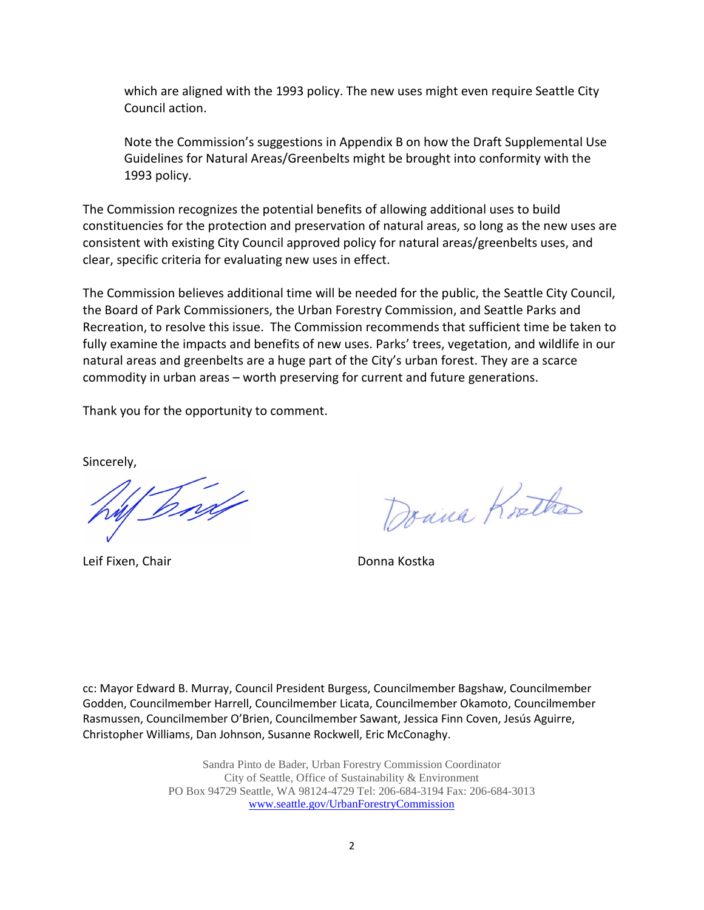which are aligned with the 1993 policy. The new uses might even require Seattle City Council action.

Note the Commission's suggestions in Appendix B on how the Draft Supplemental Use Guidelines for Natural Areas/Greenbelts might be brought into conformity with the 1993 policy.

The Commission recognizes the potential benefits of allowing additional uses to build constituencies for the protection and preservation of natural areas, so long as the new uses are consistent with existing City Council approved policy for natural areas/greenbelts uses, and clear, specific criteria for evaluating new uses in effect.

The Commission believes additional time will be needed for the public, the Seattle City Council, the Board of Park Commissioners, the Urban Forestry Commission, and Seattle Parks and Recreation, to resolve this issue. The Commission recommends that sufficient time be taken to fully examine the impacts and benefits of new uses. Parks' trees, vegetation, and wildlife in our natural areas and greenbelts are a huge part of the City's urban forest. They are a scarce commodity in urban areas – worth preserving for current and future generations.

Thank you for the opportunity to comment.

Sincerely,

Dord

Leif Fixen, Chair **Donna Kostka** 

Donna Kortha

cc: Mayor Edward B. Murray, Council President Burgess, Councilmember Bagshaw, Councilmember Godden, Councilmember Harrell, Councilmember Licata, Councilmember Okamoto, Councilmember Rasmussen, Councilmember O'Brien, Councilmember Sawant, Jessica Finn Coven, Jesús Aguirre, Christopher Williams, Dan Johnson, Susanne Rockwell, Eric McConaghy.

> Sandra Pinto de Bader, Urban Forestry Commission Coordinator City of Seattle, Office of Sustainability & Environment PO Box 94729 Seattle, WA 98124-4729 Tel: 206-684-3194 Fax: 206-684-3013 [www.seattle.gov/UrbanForestryCommission](http://www.seattle.gov/UrbanForestryCommission)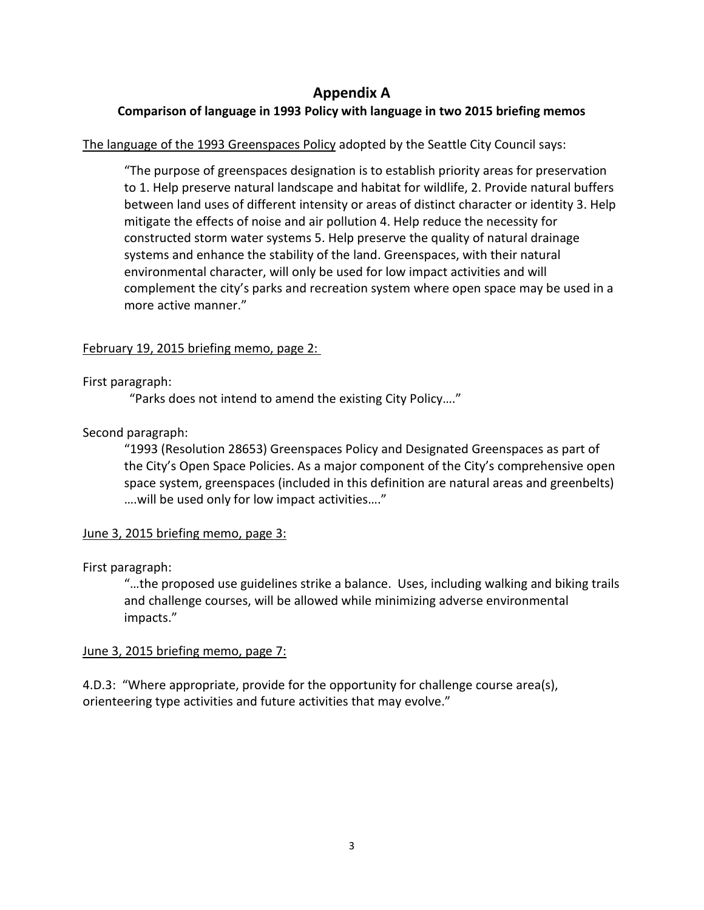## **Appendix A**

## **Comparison of language in 1993 Policy with language in two 2015 briefing memos**

## The language of the 1993 Greenspaces Policy adopted by the Seattle City Council says:

"The purpose of greenspaces designation is to establish priority areas for preservation to 1. Help preserve natural landscape and habitat for wildlife, 2. Provide natural buffers between land uses of different intensity or areas of distinct character or identity 3. Help mitigate the effects of noise and air pollution 4. Help reduce the necessity for constructed storm water systems 5. Help preserve the quality of natural drainage systems and enhance the stability of the land. Greenspaces, with their natural environmental character, will only be used for low impact activities and will complement the city's parks and recreation system where open space may be used in a more active manner."

### February 19, 2015 briefing memo, page 2:

#### First paragraph:

"Parks does not intend to amend the existing City Policy…."

## Second paragraph:

"1993 (Resolution 28653) Greenspaces Policy and Designated Greenspaces as part of the City's Open Space Policies. As a major component of the City's comprehensive open space system, greenspaces (included in this definition are natural areas and greenbelts) ….will be used only for low impact activities…."

#### June 3, 2015 briefing memo, page 3:

#### First paragraph:

"…the proposed use guidelines strike a balance. Uses, including walking and biking trails and challenge courses, will be allowed while minimizing adverse environmental impacts."

#### June 3, 2015 briefing memo, page 7:

4.D.3: "Where appropriate, provide for the opportunity for challenge course area(s), orienteering type activities and future activities that may evolve."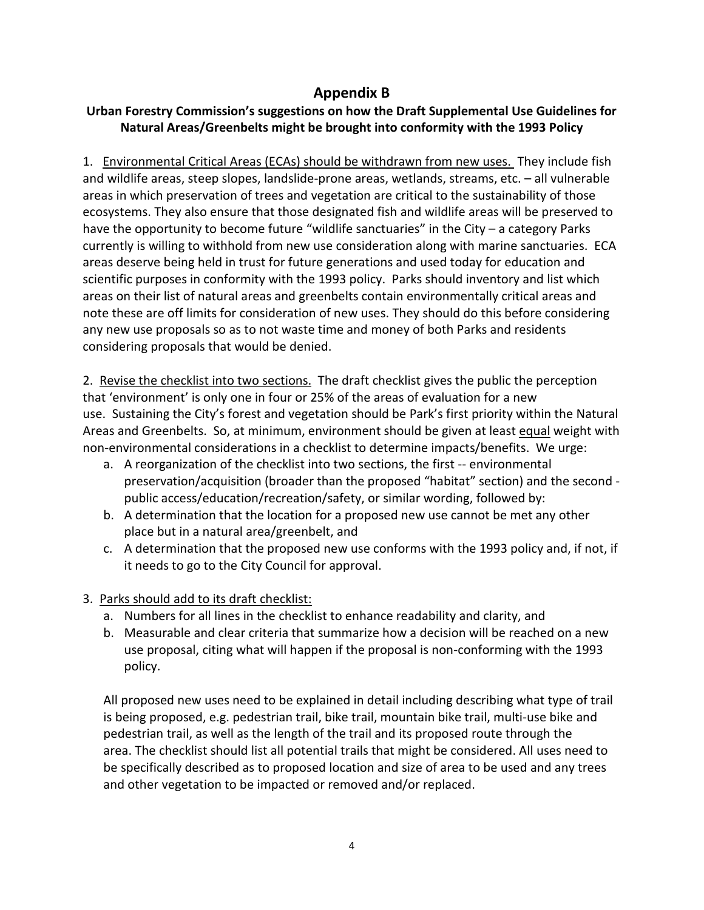# **Appendix B**

## **Urban Forestry Commission's suggestions on how the Draft Supplemental Use Guidelines for Natural Areas/Greenbelts might be brought into conformity with the 1993 Policy**

1. Environmental Critical Areas (ECAs) should be withdrawn from new uses. They include fish and wildlife areas, steep slopes, landslide-prone areas, wetlands, streams, etc. – all vulnerable areas in which preservation of trees and vegetation are critical to the sustainability of those ecosystems. They also ensure that those designated fish and wildlife areas will be preserved to have the opportunity to become future "wildlife sanctuaries" in the City – a category Parks currently is willing to withhold from new use consideration along with marine sanctuaries. ECA areas deserve being held in trust for future generations and used today for education and scientific purposes in conformity with the 1993 policy. Parks should inventory and list which areas on their list of natural areas and greenbelts contain environmentally critical areas and note these are off limits for consideration of new uses. They should do this before considering any new use proposals so as to not waste time and money of both Parks and residents considering proposals that would be denied.

2. Revise the checklist into two sections. The draft checklist gives the public the perception that 'environment' is only one in four or 25% of the areas of evaluation for a new use. Sustaining the City's forest and vegetation should be Park's first priority within the Natural Areas and Greenbelts. So, at minimum, environment should be given at least equal weight with non-environmental considerations in a checklist to determine impacts/benefits. We urge:

- a. A reorganization of the checklist into two sections, the first -- environmental preservation/acquisition (broader than the proposed "habitat" section) and the second public access/education/recreation/safety, or similar wording, followed by:
- b. A determination that the location for a proposed new use cannot be met any other place but in a natural area/greenbelt, and
- c. A determination that the proposed new use conforms with the 1993 policy and, if not, if it needs to go to the City Council for approval.
- 3. Parks should add to its draft checklist:
	- a. Numbers for all lines in the checklist to enhance readability and clarity, and
	- b. Measurable and clear criteria that summarize how a decision will be reached on a new use proposal, citing what will happen if the proposal is non-conforming with the 1993 policy.

All proposed new uses need to be explained in detail including describing what type of trail is being proposed, e.g. pedestrian trail, bike trail, mountain bike trail, multi-use bike and pedestrian trail, as well as the length of the trail and its proposed route through the area. The checklist should list all potential trails that might be considered. All uses need to be specifically described as to proposed location and size of area to be used and any trees and other vegetation to be impacted or removed and/or replaced.